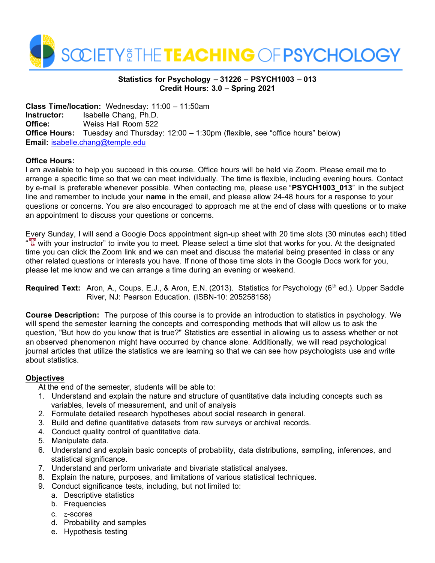

# **Statistics for Psychology – 31226 – PSYCH1003 – 013 Credit Hours: 3.0 – Spring 2021**

**Class Time/location:** Wednesday: 11:00 – 11:50am **Instructor:** Isabelle Chang, Ph.D. **Office:** Weiss Hall Room 522 **Office Hours:** Tuesday and Thursday: 12:00 – 1:30pm (flexible, see "office hours" below) **Email:** [isabelle.chang@temple.edu](mailto:isabelle.chang@temple.edu)

# **Office Hours:**

I am available to help you succeed in this course. Office hours will be held via Zoom. Please email me to arrange a specific time so that we can meet individually. The time is flexible, including evening hours. Contact by e-mail is preferable whenever possible. When contacting me, please use "**PSYCH1003\_013**" in the subject line and remember to include your **name** in the email, and please allow 24-48 hours for a response to your questions or concerns. You are also encouraged to approach me at the end of class with questions or to make an appointment to discuss your questions or concerns.

Every Sunday, I will send a Google Docs appointment sign-up sheet with 20 time slots (30 minutes each) titled " $\mathbb{T}$  with your instructor" to invite you to meet. Please select a time slot that works for you. At the designated time you can click the Zoom link and we can meet and discuss the material being presented in class or any other related questions or interests you have. If none of those time slots in the Google Docs work for you, please let me know and we can arrange a time during an evening or weekend.

Required Text: Aron, A., Coups, E.J., & Aron, E.N. (2013). Statistics for Psychology (6<sup>th</sup> ed.). Upper Saddle River, NJ: Pearson Education. (ISBN-10: 205258158)

**Course Description:** The purpose of this course is to provide an introduction to statistics in psychology. We will spend the semester learning the concepts and corresponding methods that will allow us to ask the question, "But how do you know that is true?" Statistics are essential in allowing us to assess whether or not an observed phenomenon might have occurred by chance alone. Additionally, we will read psychological journal articles that utilize the statistics we are learning so that we can see how psychologists use and write about statistics.

# **Objectives**

At the end of the semester, students will be able to:

- 1. Understand and explain the nature and structure of quantitative data including concepts such as variables, levels of measurement, and unit of analysis
- 2. Formulate detailed research hypotheses about social research in general.
- 3. Build and define quantitative datasets from raw surveys or archival records.
- 4. Conduct quality control of quantitative data.
- 5. Manipulate data.
- 6. Understand and explain basic concepts of probability, data distributions, sampling, inferences, and statistical significance.
- 7. Understand and perform univariate and bivariate statistical analyses.
- 8. Explain the nature, purposes, and limitations of various statistical techniques.
- 9. Conduct significance tests, including, but not limited to:
	- a. Descriptive statistics
	- b. Frequencies
	- c. *z*-scores
	- d. Probability and samples
	- e. Hypothesis testing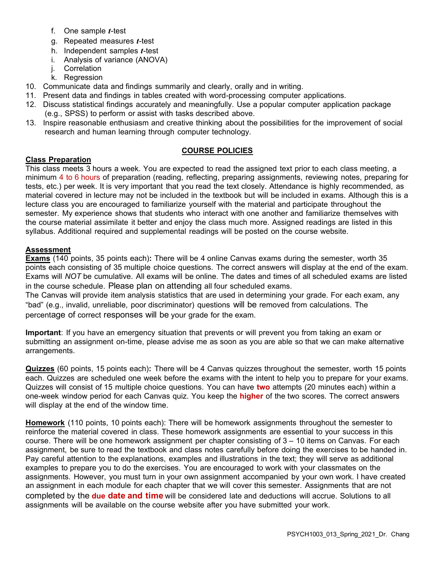- f. One sample *t*-test
- g. Repeated measures *t*-test
- h. Independent samples *t*-test
- i. Analysis of variance (ANOVA)
- j. Correlation
- k. Regression
- 10. Communicate data and findings summarily and clearly, orally and in writing.
- 11. Present data and findings in tables created with word-processing computer applications.
- 12. Discuss statistical findings accurately and meaningfully. Use a popular computer application package (e.g., SPSS) to perform or assist with tasks described above.
- 13. Inspire reasonable enthusiasm and creative thinking about the possibilities for the improvement of social research and human learning through computer technology.

# **COURSE POLICIES**

# **Class Preparation**

This class meets 3 hours a week. You are expected to read the assigned text prior to each class meeting, a minimum 4 to 6 hours of preparation (reading, reflecting, preparing assignments, reviewing notes, preparing for tests, etc.) per week. It is very important that you read the text closely. Attendance is highly recommended, as material covered in lecture may not be included in the textbook but will be included in exams. Although this is a lecture class you are encouraged to familiarize yourself with the material and participate throughout the semester. My experience shows that students who interact with one another and familiarize themselves with the course material assimilate it better and enjoy the class much more. Assigned readings are listed in this syllabus. Additional required and supplemental readings will be posted on the course website.

### **Assessment**

**Exams** (140 points, 35 points each)**:** There will be 4 online Canvas exams during the semester, worth 35 points each consisting of 35 multiple choice questions. The correct answers will display at the end of the exam. Exams will *NOT* be cumulative. All exams will be online. The dates and times of all scheduled exams are listed in the course schedule. Please plan on attending all four scheduled exams.

The Canvas will provide item analysis statistics that are used in determining your grade. For each exam, any "bad" (e.g., invalid, unreliable, poor discriminator) questions will be removed from calculations. The percentage of correct responses will be your grade for the exam.

**Important**: If you have an emergency situation that prevents or will prevent you from taking an exam or submitting an assignment on-time, please advise me as soon as you are able so that we can make alternative arrangements.

**Quizzes** (60 points, 15 points each)**:** There will be 4 Canvas quizzes throughout the semester, worth 15 points each. Quizzes are scheduled one week before the exams with the intent to help you to prepare for your exams. Quizzes will consist of 15 multiple choice questions. You can have **two** attempts (20 minutes each) within a one-week window period for each Canvas quiz. You keep the **higher** of the two scores. The correct answers will display at the end of the window time.

**Homework** (110 points, 10 points each): There will be homework assignments throughout the semester to reinforce the material covered in class. These homework assignments are essential to your success in this course. There will be one homework assignment per chapter consisting of 3 – 10 items on Canvas. For each assignment, be sure to read the textbook and class notes carefully before doing the exercises to be handed in. Pay careful attention to the explanations, examples and illustrations in the text; they will serve as additional examples to prepare you to do the exercises. You are encouraged to work with your classmates on the assignments. However, you must turn in your own assignment accompanied by your own work. I have created an assignment in each module for each chapter that we will cover this semester. Assignments that are not completed by the **due date and time** will be considered late and deductions will accrue. Solutions to all assignments will be available on the course website after you have submitted your work.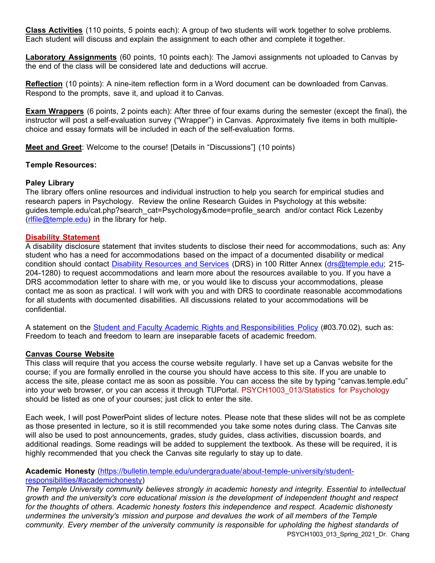**Class Activities** (110 points, 5 points each): A group of two students will work together to solve problems. Each student will discuss and explain the assignment to each other and complete it together.

**Laboratory Assignments** (60 points, 10 points each): The Jamovi assignments not uploaded to Canvas by the end of the class will be considered late and deductions will accrue.

**Reflection** (10 points): A nine-item reflection form in a Word document can be downloaded from Canvas. Respond to the prompts, save it, and upload it to Canvas.

**Exam Wrappers** (6 points, 2 points each): After three of four exams during the semester (except the final), the instructor will post a self-evaluation survey ("Wrapper") in Canvas. Approximately five items in both multiplechoice and essay formats will be included in each of the self-evaluation forms.

**Meet and Greet**: Welcome to the course! [Details in "Discussions"] (10 points)

#### **Temple Resources:**

#### **Paley Library**

The library offers online resources and individual instruction to help you search for empirical studies and research papers in Psychology. Review the online Research Guides in Psychology at this website: guides.temple.edu/cat.php?search\_cat=Psychology&mode=profile\_search and/or contact Rick Lezenby [\(rlfile@temple.edu\)](mailto:rlfile@temple.edu) in the library for help.

#### **Disability Statement**

A disability disclosure statement that invites students to disclose their need for accommodations, such as: Any student who has a need for accommodations based on the impact of a documented disability or medical condition should contact [Disability Resources and Services](https://disabilityresources.temple.edu/temple-and-drs-policies) (DRS) in 100 Ritter Annex [\(drs@temple.edu;](mailto:drs@temple.edu) 215- 204-1280) to request accommodations and learn more about the resources available to you. If you have a DRS accommodation letter to share with me, or you would like to discuss your accommodations, please contact me as soon as practical. I will work with you and with DRS to coordinate reasonable accommodations for all students with documented disabilities. All discussions related to your accommodations will be confidential.

A statement on the [Student and Faculty Academic Rights and Responsibilities Policy](https://secretary.temple.edu/sites/secretary/files/policies/03.70.02.pdf) (#03.70.02), such as: Freedom to teach and freedom to learn are inseparable facets of academic freedom.

#### **Canvas Course Website**

This class will require that you access the course website regularly. I have set up a Canvas website for the course; if you are formally enrolled in the course you should have access to this site. If you are unable to access the site, please contact me as soon as possible. You can access the site by typing "canvas.temple.edu" into your web browser, or you can access it through TUPortal. PSYCH1003 013/Statistics for Psychology should be listed as one of your courses; just click to enter the site.

Each week, I will post PowerPoint slides of lecture notes. Please note that these slides will not be as complete as those presented in lecture, so it is still recommended you take some notes during class. The Canvas site will also be used to post announcements, grades, study guides, class activities, discussion boards, and additional readings. Some readings will be added to supplement the textbook. As these will be required, it is highly recommended that you check the Canvas site regularly to stay up to date.

# **Academic Honesty** [\(https://bulletin.temple.edu/undergraduate/about-temple-university/student](https://bulletin.temple.edu/undergraduate/about-temple-university/student-responsibilities/#academichonesty)[responsibilities/#academichonesty\)](https://bulletin.temple.edu/undergraduate/about-temple-university/student-responsibilities/#academichonesty)

PSYCH1003\_013\_Spring\_2021\_Dr. Chang *The Temple University community believes strongly in academic honesty and integrity. Essential to intellectual growth and the university's core educational mission is the development of independent thought and respect for the thoughts of others. Academic honesty fosters this independence and respect. Academic dishonesty undermines the university's mission and purpose and devalues the work of all members of the Temple community. Every member of the university community is responsible for upholding the highest standards of*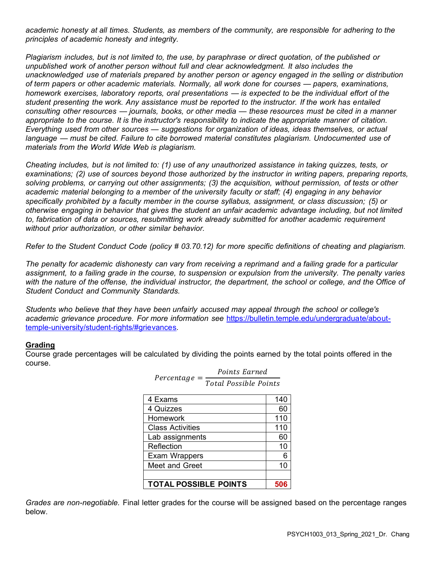*academic honesty at all times. Students, as members of the community, are responsible for adhering to the principles of academic honesty and integrity.*

*Plagiarism includes, but is not limited to, the use, by paraphrase or direct quotation, of the published or unpublished work of another person without full and clear acknowledgment. It also includes the unacknowledged use of materials prepared by another person or agency engaged in the selling or distribution of term papers or other academic materials. Normally, all work done for courses — papers, examinations, homework exercises, laboratory reports, oral presentations — is expected to be the individual effort of the student presenting the work. Any assistance must be reported to the instructor. If the work has entailed consulting other resources — journals, books, or other media — these resources must be cited in a manner appropriate to the course. It is the instructor's responsibility to indicate the appropriate manner of citation. Everything used from other sources — suggestions for organization of ideas, ideas themselves, or actual language — must be cited. Failure to cite borrowed material constitutes plagiarism. Undocumented use of materials from the World Wide Web is plagiarism.*

*Cheating includes, but is not limited to: (1) use of any unauthorized assistance in taking quizzes, tests, or examinations; (2) use of sources beyond those authorized by the instructor in writing papers, preparing reports, solving problems, or carrying out other assignments; (3) the acquisition, without permission, of tests or other academic material belonging to a member of the university faculty or staff; (4) engaging in any behavior specifically prohibited by a faculty member in the course syllabus, assignment, or class discussion; (5) or otherwise engaging in behavior that gives the student an unfair academic advantage including, but not limited to, fabrication of data or sources, resubmitting work already submitted for another academic requirement without prior authorization, or other similar behavior.*

*Refer to the Student Conduct Code (policy # 03.70.12) for more specific definitions of cheating and plagiarism.*

*The penalty for academic dishonesty can vary from receiving a reprimand and a failing grade for a particular assignment, to a failing grade in the course, to suspension or expulsion from the university. The penalty varies*  with the nature of the offense, the individual instructor, the department, the school or college, and the Office of *Student Conduct and Community Standards.*

*Students who believe that they have been unfairly accused may appeal through the school or college's academic grievance procedure. For more information see* [https://bulletin.temple.edu/undergraduate/about](https://bulletin.temple.edu/undergraduate/about-temple-university/student-rights/#grievances)[temple-university/student-rights/#grievances](https://bulletin.temple.edu/undergraduate/about-temple-university/student-rights/#grievances)*.*

#### **Grading**

Course grade percentages will be calculated by dividing the points earned by the total points offered in the course.

| 4 Exams                      | 140 |
|------------------------------|-----|
| 4 Quizzes                    | 60  |
| <b>Homework</b>              | 110 |
| <b>Class Activities</b>      | 110 |
| Lab assignments              | 60  |
| Reflection                   | 10  |
| Exam Wrappers                | 6   |
| Meet and Greet               | 10  |
|                              |     |
| <b>TOTAL POSSIBLE POINTS</b> | 506 |

 $Percentage =$ Points Earned Total Possible Points

*Grades are non-negotiable.* Final letter grades for the course will be assigned based on the percentage ranges below.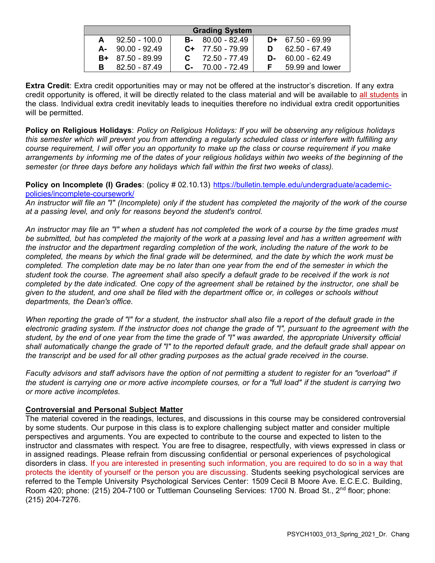| <b>Grading System</b> |                     |  |                     |    |                    |  |
|-----------------------|---------------------|--|---------------------|----|--------------------|--|
| A                     | $92.50 - 100.0$     |  | $B-80.00-82.49$     |    | $D+ 67.50 - 69.99$ |  |
|                       | $A - 90.00 - 92.49$ |  | $C+ 77.50 - 79.99$  | D. | 62.50 - 67.49      |  |
|                       | $B+ 87.50 - 89.99$  |  | $C = 72.50 - 77.49$ | D- | 60.00 - 62.49      |  |
| в                     | $82.50 - 87.49$     |  | $C - 70.00 - 72.49$ |    | 59.99 and lower    |  |

**Extra Credit**: Extra credit opportunities may or may not be offered at the instructor's discretion. If any extra credit opportunity is offered, it will be directly related to the class material and will be available to all students in the class. Individual extra credit inevitably leads to inequities therefore no individual extra credit opportunities will be permitted.

**Policy on Religious Holidays**: *Policy on Religious Holidays: If you will be observing any religious holidays this semester which will prevent you from attending a regularly scheduled class or interfere with fulfilling any course requirement, I will offer you an opportunity to make up the class or course requirement if you make*  arrangements by informing me of the dates of your religious holidays within two weeks of the beginning of the *semester (or three days before any holidays which fall within the first two weeks of class).*

**Policy on Incomplete (I) Grades**: (policy # 02.10.13) [https://bulletin.temple.edu/undergraduate/academic](https://bulletin.temple.edu/undergraduate/academic-policies/incomplete-coursework/)[policies/incomplete-coursework/](https://bulletin.temple.edu/undergraduate/academic-policies/incomplete-coursework/)

*An instructor will file an "I" (Incomplete) only if the student has completed the majority of the work of the course at a passing level, and only for reasons beyond the student's control.*

*An instructor may file an "I" when a student has not completed the work of a course by the time grades must be submitted, but has completed the majority of the work at a passing level and has a written agreement with the instructor and the department regarding completion of the work, including the nature of the work to be completed, the means by which the final grade will be determined, and the date by which the work must be completed. The completion date may be no later than one year from the end of the semester in which the student took the course. The agreement shall also specify a default grade to be received if the work is not completed by the date indicated. One copy of the agreement shall be retained by the instructor, one shall be given to the student, and one shall be filed with the department office or, in colleges or schools without departments, the Dean's office.*

*When reporting the grade of "I" for a student, the instructor shall also file a report of the default grade in the* electronic grading system. If the instructor does not change the grade of "I", pursuant to the agreement with the *student, by the end of one year from the time the grade of "I" was awarded, the appropriate University official shall automatically change the grade of "I" to the reported default grade, and the default grade shall appear on the transcript and be used for all other grading purposes as the actual grade received in the course.*

*Faculty advisors and staff advisors have the option of not permitting a student to register for an "overload" if the student is carrying one or more active incomplete courses, or for a "full load" if the student is carrying two or more active incompletes.*

#### **Controversial and Personal Subject Matter**

The material covered in the readings, lectures, and discussions in this course may be considered controversial by some students. Our purpose in this class is to explore challenging subject matter and consider multiple perspectives and arguments. You are expected to contribute to the course and expected to listen to the instructor and classmates with respect. You are free to disagree, respectfully, with views expressed in class or in assigned readings. Please refrain from discussing confidential or personal experiences of psychological disorders in class. If you are interested in presenting such information, you are required to do so in a way that protects the identity of yourself or the person you are discussing. Students seeking psychological services are referred to the Temple University Psychological Services Center: 1509 Cecil B Moore Ave. E.C.E.C. Building, Room 420; phone: (215) 204-7100 or Tuttleman Counseling Services: 1700 N. Broad St., 2<sup>nd</sup> floor; phone: (215) 204-7276.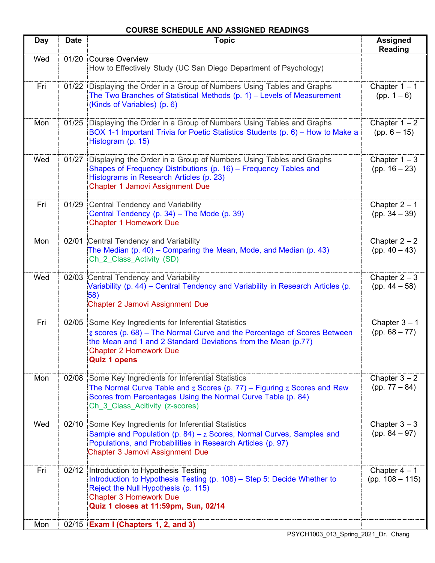# **COURSE SCHEDULE AND ASSIGNED READINGS**

| <b>Day</b> | <b>Date</b> | <b>Topic</b>                                                                                                                                                                                                                                                 | <b>Assigned</b><br><b>Reading</b>    |
|------------|-------------|--------------------------------------------------------------------------------------------------------------------------------------------------------------------------------------------------------------------------------------------------------------|--------------------------------------|
| Wed        | 01/20       | Course Overview<br>How to Effectively Study (UC San Diego Department of Psychology)                                                                                                                                                                          |                                      |
| Fri        |             | 01/22 Displaying the Order in a Group of Numbers Using Tables and Graphs<br>The Two Branches of Statistical Methods (p. 1) - Levels of Measurement<br>(Kinds of Variables) (p. 6)                                                                            | Chapter $1 - 1$<br>$(pp. 1-6)$       |
| Mon        |             | 01/25 Displaying the Order in a Group of Numbers Using Tables and Graphs<br>BOX 1-1 Important Trivia for Poetic Statistics Students (p. 6) – How to Make a<br>Histogram (p. 15)                                                                              | Chapter $1 - 2$<br>$(pp. 6 - 15)$    |
| Wed        | 01/27       | Displaying the Order in a Group of Numbers Using Tables and Graphs<br>Shapes of Frequency Distributions (p. 16) - Frequency Tables and<br>Histograms in Research Articles (p. 23)<br><b>Chapter 1 Jamovi Assignment Due</b>                                  | Chapter $1 - 3$<br>(pp. $16 - 23$ )  |
| Fri        |             | 01/29 Central Tendency and Variability<br>Central Tendency (p. 34) - The Mode (p. 39)<br><b>Chapter 1 Homework Due</b>                                                                                                                                       | Chapter $2 - 1$<br>(pp. $34 - 39$ )  |
| Mon        |             | 02/01 Central Tendency and Variability<br>The Median (p. 40) – Comparing the Mean, Mode, and Median (p. 43)<br>Ch 2 Class Activity (SD)                                                                                                                      | Chapter $2 - 2$<br>(pp. $40 - 43$ )  |
| Wed        |             | 02/03 Central Tendency and Variability<br>Variability (p. 44) – Central Tendency and Variability in Research Articles (p.<br>58)<br><b>Chapter 2 Jamovi Assignment Due</b>                                                                                   | Chapter $2-3$<br>(pp. $44 - 58$ )    |
| Fri        |             | 02/05 Some Key Ingredients for Inferential Statistics<br>$z$ scores (p. 68) – The Normal Curve and the Percentage of Scores Between<br>the Mean and 1 and 2 Standard Deviations from the Mean (p.77)<br><b>Chapter 2 Homework Due</b><br><b>Quiz 1 opens</b> | Chapter $3 - 1$<br>$(pp. 68 - 77)$   |
| Mon        |             | 02/08 Some Key Ingredients for Inferential Statistics<br>The Normal Curve Table and $z$ Scores (p. 77) – Figuring $z$ Scores and Raw<br>Scores from Percentages Using the Normal Curve Table (p. 84)<br>Ch 3 Class Acitivity (z-scores)                      | Chapter $3 - 2$<br>$(pp. 77 - 84)$   |
| Wed        |             | 02/10 Some Key Ingredients for Inferential Statistics<br>Sample and Population (p. 84) – $z$ Scores, Normal Curves, Samples and<br>Populations, and Probabilities in Research Articles (p. 97)<br><b>Chapter 3 Jamovi Assignment Due</b>                     | Chapter $3 - 3$<br>(pp. $84 - 97$ )  |
| Fri        | 02/12       | Introduction to Hypothesis Testing<br>Introduction to Hypothesis Testing (p. 108) – Step 5: Decide Whether to<br>Reject the Null Hypothesis (p. 115)<br><b>Chapter 3 Homework Due</b><br>Quiz 1 closes at 11:59pm, Sun, 02/14                                | Chapter $4 - 1$<br>$(pp. 108 - 115)$ |
| Mon        |             | 02/15 Exam I (Chapters 1, 2, and 3)                                                                                                                                                                                                                          |                                      |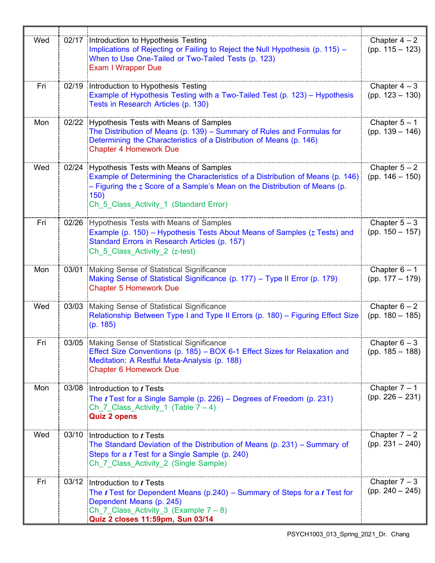| Wed |       | 02/17 Introduction to Hypothesis Testing<br>Implications of Rejecting or Failing to Reject the Null Hypothesis (p. 115) -<br>When to Use One-Tailed or Two-Tailed Tests (p. 123)<br><b>Exam I Wrapper Due</b>                                                      | Chapter $4-2$<br>$(pp. 115 - 123)$    |
|-----|-------|--------------------------------------------------------------------------------------------------------------------------------------------------------------------------------------------------------------------------------------------------------------------|---------------------------------------|
| Fri |       | 02/19 Introduction to Hypothesis Testing<br>Example of Hypothesis Testing with a Two-Tailed Test (p. 123) – Hypothesis<br>Tests in Research Articles (p. 130)                                                                                                      | Chapter $4-3$<br>$(pp. 123 - 130)$    |
| Mon |       | 02/22 Hypothesis Tests with Means of Samples<br>The Distribution of Means (p. 139) - Summary of Rules and Formulas for<br>Determining the Characteristics of a Distribution of Means (p. 146)<br><b>Chapter 4 Homework Due</b>                                     | Chapter $5 - 1$<br>(pp. $139 - 146$ ) |
| Wed |       | 02/24 Hypothesis Tests with Means of Samples<br>Example of Determining the Characteristics of a Distribution of Means (p. 146)<br>$-$ Figuring the $z$ Score of a Sample's Mean on the Distribution of Means (p.<br>150)<br>Ch_5_Class_Activity_1 (Standard Error) | Chapter $5 - 2$<br>(pp. $146 - 150$ ) |
| Fri |       | 02/26 Hypothesis Tests with Means of Samples<br>Example (p. 150) – Hypothesis Tests About Means of Samples ( $z$ Tests) and<br>Standard Errors in Research Articles (p. 157)<br>Ch 5 Class Activity 2 $(z$ -test)                                                  | Chapter $5-3$<br>$(pp. 150 - 157)$    |
| Mon | 03/01 | Making Sense of Statistical Significance<br>Making Sense of Statistical Significance (p. 177) - Type II Error (p. 179)<br><b>Chapter 5 Homework Due</b>                                                                                                            | Chapter $6 - 1$<br>(pp. $177 - 179$ ) |
| Wed | 03/03 | Making Sense of Statistical Significance<br>Relationship Between Type I and Type II Errors (p. 180) - Figuring Effect Size<br>(p. 185)                                                                                                                             | Chapter $6 - 2$<br>$(pp. 180 - 185)$  |
| Fri |       | 03/05 Making Sense of Statistical Significance<br>Effect Size Conventions (p. 185) – BOX 6-1 Effect Sizes for Relaxation and<br>Meditation: A Restful Meta-Analysis (p. 188)<br><b>Chapter 6 Homework Due</b>                                                      | Chapter $6-3$<br>$(pp. 185 - 188)$    |
| Mon |       | 03/08 Introduction to t Tests<br>The $t$ Test for a Single Sample (p. 226) – Degrees of Freedom (p. 231)<br>Ch_7_Class_Activity 1 (Table $7-4$ )<br><b>Quiz 2 opens</b>                                                                                            | Chapter $7 - 1$<br>$(pp. 226 - 231)$  |
| Wed |       | 03/10 Introduction to $t$ Tests<br>The Standard Deviation of the Distribution of Means (p. 231) – Summary of<br>Steps for a <i>t</i> Test for a Single Sample (p. 240)<br>Ch 7 Class Activity 2 (Single Sample)                                                    | Chapter $7 - 2$<br>$(pp. 231 - 240)$  |
| Fri |       | 03/12 Introduction to $t$ Tests<br>The $t$ Test for Dependent Means (p.240) – Summary of Steps for a $t$ Test for<br>Dependent Means (p. 245)<br>Ch 7 Class Activity 3 (Example $7 - 8$ )<br>Quiz 2 closes 11:59pm, Sun 03/14                                      | Chapter $7 - 3$<br>$(pp. 240 - 245)$  |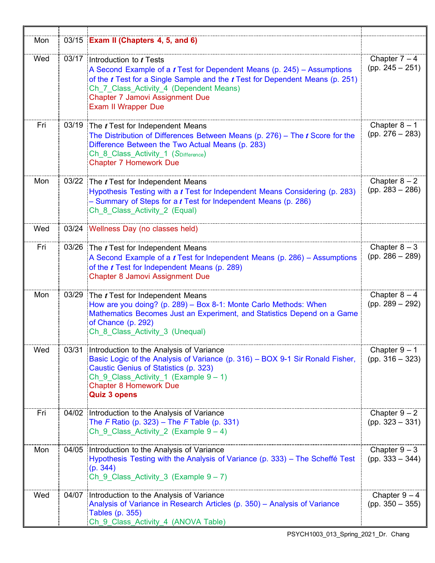| Mon | 03/15 Exam II (Chapters 4, 5, and 6)                                                                                                                                                                                                                                                                                 |                                      |
|-----|----------------------------------------------------------------------------------------------------------------------------------------------------------------------------------------------------------------------------------------------------------------------------------------------------------------------|--------------------------------------|
| Wed | 03/17 Introduction to $t$ Tests<br>A Second Example of a $t$ Test for Dependent Means (p. 245) – Assumptions<br>of the $t$ Test for a Single Sample and the $t$ Test for Dependent Means (p. 251)<br>Ch 7 Class Activity 4 (Dependent Means)<br><b>Chapter 7 Jamovi Assignment Due</b><br><b>Exam II Wrapper Due</b> | Chapter $7 - 4$<br>$(pp. 245 - 251)$ |
| Fri | 03/19 The <i>t</i> Test for Independent Means<br>The Distribution of Differences Between Means (p. 276) – The $t$ Score for the<br>Difference Between the Two Actual Means (p. 283)<br>Ch 8 Class Activity 1 (SDifference)<br><b>Chapter 7 Homework Due</b>                                                          | Chapter $8 - 1$<br>$(pp. 276 - 283)$ |
| Mon | 03/22 The $t$ Test for Independent Means<br>Hypothesis Testing with a t Test for Independent Means Considering (p. 283)<br>- Summary of Steps for a $t$ Test for Independent Means (p. 286)<br>Ch 8 Class Activity 2 (Equal)                                                                                         | Chapter $8 - 2$<br>$(pp. 283 - 286)$ |
| Wed | 03/24 Wellness Day (no classes held)                                                                                                                                                                                                                                                                                 |                                      |
| Fri | 03/26 The $t$ Test for Independent Means<br>A Second Example of a $t$ Test for Independent Means (p. 286) – Assumptions<br>of the <i>t</i> Test for Independent Means (p. 289)<br><b>Chapter 8 Jamovi Assignment Due</b>                                                                                             | Chapter $8-3$<br>$(pp. 286 - 289)$   |
| Mon | 03/29 The $t$ Test for Independent Means<br>How are you doing? (p. 289) - Box 8-1: Monte Carlo Methods: When<br>Mathematics Becomes Just an Experiment, and Statistics Depend on a Game<br>of Chance (p. 292)<br>Ch 8 Class Activity 3 (Unequal)                                                                     | Chapter $8 - 4$<br>$(pp. 289 - 292)$ |
| Wed | 03/31 Introduction to the Analysis of Variance<br>Basic Logic of the Analysis of Variance (p. 316) - BOX 9-1 Sir Ronald Fisher,<br>Caustic Genius of Statistics (p. 323)<br>Ch 9 Class Activity 1 (Example $9 - 1$ )<br><b>Chapter 8 Homework Due</b><br><b>Quiz 3 opens</b>                                         | Chapter $9 - 1$<br>$(pp. 316 - 323)$ |
| Fri | 04/02 Introduction to the Analysis of Variance<br>The F Ratio (p. 323) – The F Table (p. 331)<br>Ch 9 Class Activity 2 (Example $9 - 4$ )                                                                                                                                                                            | Chapter $9 - 2$<br>$(pp. 323 - 331)$ |
| Mon | 04/05 Introduction to the Analysis of Variance<br>Hypothesis Testing with the Analysis of Variance (p. 333) - The Scheffé Test<br>(p. 344)<br>Ch $9$ Class Activity 3 (Example $9 - 7$ )                                                                                                                             | Chapter $9 - 3$<br>$(pp. 333 - 344)$ |
| Wed | 04/07 Introduction to the Analysis of Variance<br>Analysis of Variance in Research Articles (p. 350) - Analysis of Variance<br>Tables (p. 355)<br>Ch 9 Class_Activity_4 (ANOVA Table)                                                                                                                                | Chapter $9-4$<br>$(pp. 350 - 355)$   |